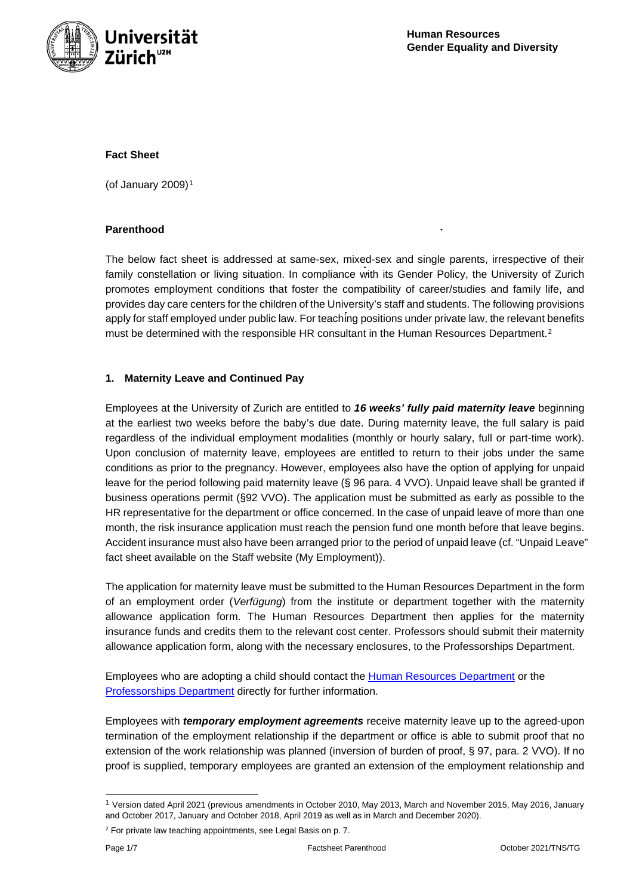

### **Fact Sheet**

(of January 2009) $<sup>1</sup>$  $<sup>1</sup>$  $<sup>1</sup>$ </sup>

### **Parenthood**

The below fact sheet is addressed at same-sex, mixed-sex and single parents, irrespective of their family constellation or living situation. In compliance with its Gender Policy, the University of Zurich promotes employment conditions that foster the compatibility of career/studies and family life, and provides day care centers for the children of the University's staff and students. The following provisions apply for staff employed under public law. For teaching positions under private law, the relevant benefits must be determined with the responsible HR consultant in the Human Resources Department.<sup>[2](#page-0-1)</sup>

## **1. Maternity Leave and Continued Pay**

Employees at the University of Zurich are entitled to *16 weeks' fully paid maternity leave* beginning at the earliest two weeks before the baby's due date. During maternity leave, the full salary is paid regardless of the individual employment modalities (monthly or hourly salary, full or part-time work). Upon conclusion of maternity leave, employees are entitled to return to their jobs under the same conditions as prior to the pregnancy. However, employees also have the option of applying for unpaid leave for the period following paid maternity leave (§ 96 para. 4 VVO). Unpaid leave shall be granted if business operations permit (§92 VVO). The application must be submitted as early as possible to the HR representative for the department or office concerned. In the case of unpaid leave of more than one month, the risk insurance application must reach the pension fund one month before that leave begins. Accident insurance must also have been arranged prior to the period of unpaid leave (cf. "Unpaid Leave" fact sheet available on the Staff website (My Employment)).

The application for maternity leave must be submitted to the Human Resources Department in the form of an employment order (*Verfügung*) from the institute or department together with the maternity allowance application form. The Human Resources Department then applies for the maternity insurance funds and credits them to the relevant cost center. Professors should submit their maternity allowance application form, along with the necessary enclosures, to the Professorships Department.

Employees who are adopting a child should contact the [Human Resources Department](https://www.uzh.ch/cmsssl/pa/en/about/contact-all/contact-coc.html) or the [Professorships Department](https://www.prof.uzh.ch/en.html) directly for further information.

Employees with *temporary employment agreements* receive maternity leave up to the agreed-upon termination of the employment relationship if the department or office is able to submit proof that no extension of the work relationship was planned (inversion of burden of proof, § 97, para. 2 VVO). If no proof is supplied, temporary employees are granted an extension of the employment relationship and

<span id="page-0-0"></span><sup>1</sup> Version dated April 2021 (previous amendments in October 2010, May 2013, March and November 2015, May 2016, January and October 2017, January and October 2018, April 2019 as well as in March and December 2020).

<span id="page-0-1"></span> $2$  For private law teaching appointments, see Legal Basis on p. 7.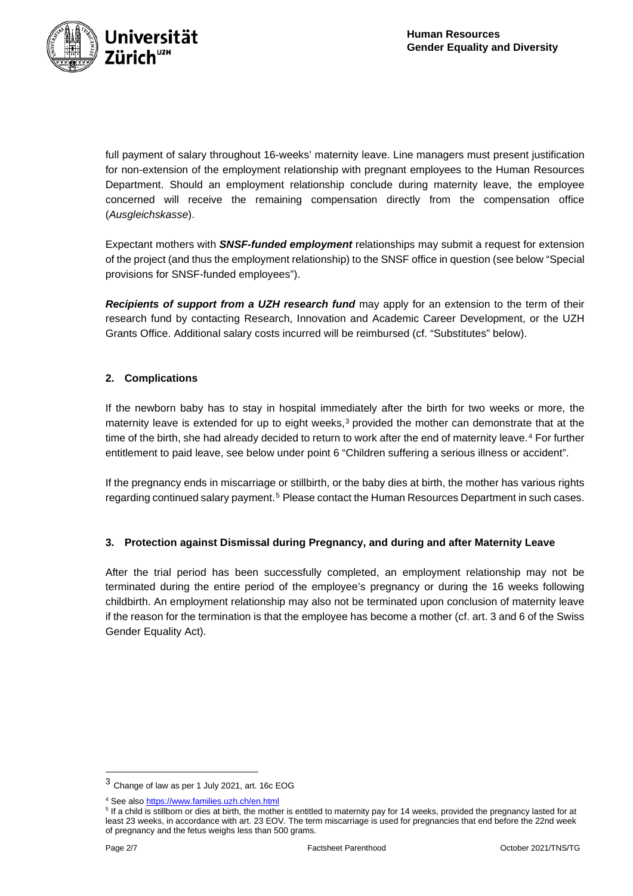

full payment of salary throughout 16-weeks' maternity leave. Line managers must present justification for non-extension of the employment relationship with pregnant employees to the Human Resources Department. Should an employment relationship conclude during maternity leave, the employee concerned will receive the remaining compensation directly from the compensation office (*Ausgleichskasse*).

Expectant mothers with *SNSF-funded employment* relationships may submit a request for extension of the project (and thus the employment relationship) to the SNSF office in question (see below "Special provisions for SNSF-funded employees").

**Recipients of support from a UZH research fund** may apply for an extension to the term of their research fund by contacting Research, Innovation and Academic Career Development, or the UZH Grants Office. Additional salary costs incurred will be reimbursed (cf. "Substitutes" below).

## **2. Complications**

If the newborn baby has to stay in hospital immediately after the birth for two weeks or more, the maternity leave is extended for up to eight weeks, $3$  provided the mother can demonstrate that at the time of the birth, she had already decided to return to work after the end of maternity leave.<sup>[4](#page-1-1)</sup> For further entitlement to paid leave, see below under point 6 "Children suffering a serious illness or accident".

If the pregnancy ends in miscarriage or stillbirth, or the baby dies at birth, the mother has various rights regarding continued salary payment.<sup>[5](#page-1-2)</sup> Please contact the Human Resources Department in such cases.

## **3. Protection against Dismissal during Pregnancy, and during and after Maternity Leave**

After the trial period has been successfully completed, an employment relationship may not be terminated during the entire period of the employee's pregnancy or during the 16 weeks following childbirth. An employment relationship may also not be terminated upon conclusion of maternity leave if the reason for the termination is that the employee has become a mother (cf. art. 3 and 6 of the Swiss Gender Equality Act).

<span id="page-1-0"></span><sup>3</sup> Change of law as per 1 July 2021, art. 16c EOG

<sup>4</sup> See als[o https://www.families.uzh.ch/en.html](https://www.families.uzh.ch/en.html)

<span id="page-1-2"></span><span id="page-1-1"></span><sup>&</sup>lt;sup>5</sup> If a child is stillborn or dies at birth, the mother is entitled to maternity pay for 14 weeks, provided the pregnancy lasted for at least 23 weeks, in accordance with art. 23 EOV. The term miscarriage is used for pregnancies that end before the 22nd week of pregnancy and the fetus weighs less than 500 grams.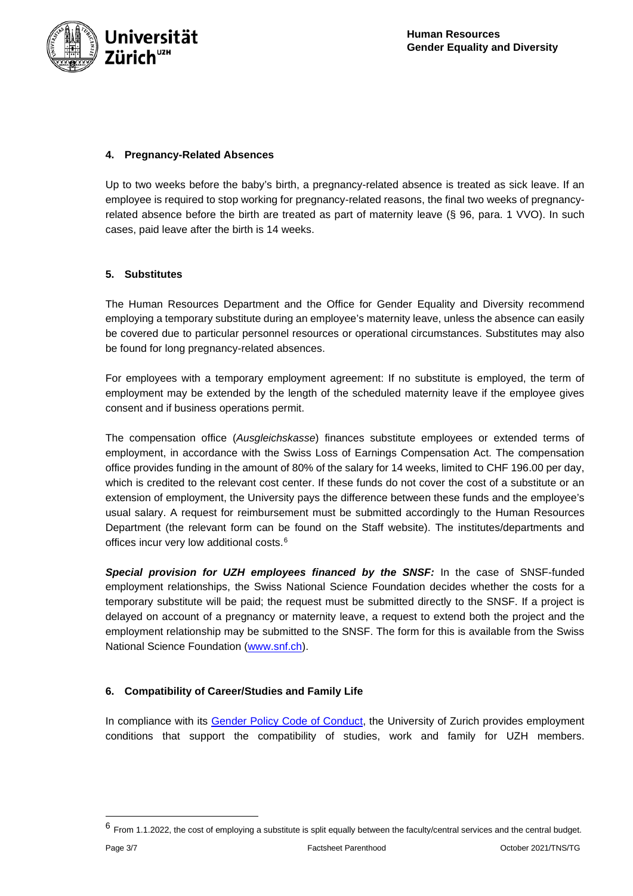

### **4. Pregnancy-Related Absences**

Up to two weeks before the baby's birth, a pregnancy-related absence is treated as sick leave. If an employee is required to stop working for pregnancy-related reasons, the final two weeks of pregnancyrelated absence before the birth are treated as part of maternity leave (§ 96, para. 1 VVO). In such cases, paid leave after the birth is 14 weeks.

## **5. Substitutes**

The Human Resources Department and the Office for Gender Equality and Diversity recommend employing a temporary substitute during an employee's maternity leave, unless the absence can easily be covered due to particular personnel resources or operational circumstances. Substitutes may also be found for long pregnancy-related absences.

For employees with a temporary employment agreement: If no substitute is employed, the term of employment may be extended by the length of the scheduled maternity leave if the employee gives consent and if business operations permit.

The compensation office (*Ausgleichskasse*) finances substitute employees or extended terms of employment, in accordance with the Swiss Loss of Earnings Compensation Act. The compensation office provides funding in the amount of 80% of the salary for 14 weeks, limited to CHF 196.00 per day, which is credited to the relevant cost center. If these funds do not cover the cost of a substitute or an extension of employment, the University pays the difference between these funds and the employee's usual salary. A request for reimbursement must be submitted accordingly to the Human Resources Department (the relevant form can be found on the Staff website). The institutes/departments and offices incur very low additional costs.[6](#page-2-0)

*Special provision for UZH employees financed by the SNSF:* In the case of SNSF-funded employment relationships, the Swiss National Science Foundation decides whether the costs for a temporary substitute will be paid; the request must be submitted directly to the SNSF. If a project is delayed on account of a pregnancy or maternity leave, a request to extend both the project and the employment relationship may be submitted to the SNSF. The form for this is available from the Swiss National Science Foundation [\(www.snf.ch\)](https://www.snf.ch/en/FKhU9kAtfXx7w9AI/page/home).

## **6. Compatibility of Career/Studies and Family Life**

In compliance with its [Gender Policy Code of Conduct,](https://www.uzh.ch/cmsssl/en/about/basics/genderpolicy.html) the University of Zurich provides employment conditions that support the compatibility of studies, work and family for UZH members.

<span id="page-2-0"></span> $6$  From 1.1.2022, the cost of employing a substitute is split equally between the faculty/central services and the central budget.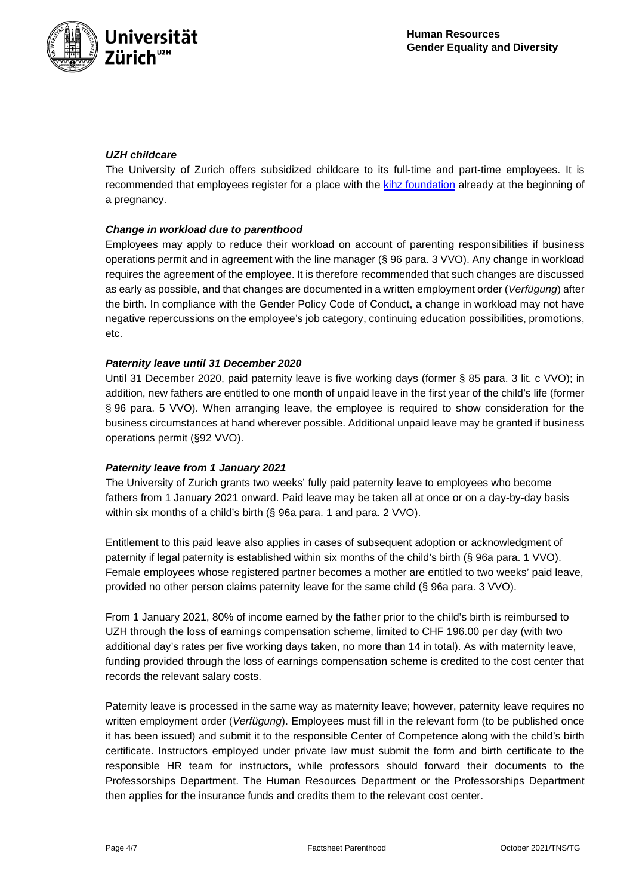

## *UZH childcare*

The University of Zurich offers subsidized childcare to its full-time and part-time employees. It is recommended that employees register for a place with the [kihz foundation](https://www.kihz.uzh.ch/de.html) already at the beginning of a pregnancy.

#### *Change in workload due to parenthood*

Employees may apply to reduce their workload on account of parenting responsibilities if business operations permit and in agreement with the line manager (§ 96 para. 3 VVO). Any change in workload requires the agreement of the employee. It is therefore recommended that such changes are discussed as early as possible, and that changes are documented in a written employment order (*Verfügung*) after the birth. In compliance with the Gender Policy Code of Conduct, a change in workload may not have negative repercussions on the employee's job category, continuing education possibilities, promotions, etc.

#### *Paternity leave until 31 December 2020*

Until 31 December 2020, paid paternity leave is five working days (former § 85 para. 3 lit. c VVO); in addition, new fathers are entitled to one month of unpaid leave in the first year of the child's life (former § 96 para. 5 VVO). When arranging leave, the employee is required to show consideration for the business circumstances at hand wherever possible. Additional unpaid leave may be granted if business operations permit (§92 VVO).

#### *Paternity leave from 1 January 2021*

The University of Zurich grants two weeks' fully paid paternity leave to employees who become fathers from 1 January 2021 onward. Paid leave may be taken all at once or on a day-by-day basis within six months of a child's birth (§ 96a para. 1 and para. 2 VVO).

Entitlement to this paid leave also applies in cases of subsequent adoption or acknowledgment of paternity if legal paternity is established within six months of the child's birth (§ 96a para. 1 VVO). Female employees whose registered partner becomes a mother are entitled to two weeks' paid leave, provided no other person claims paternity leave for the same child (§ 96a para. 3 VVO).

From 1 January 2021, 80% of income earned by the father prior to the child's birth is reimbursed to UZH through the loss of earnings compensation scheme, limited to CHF 196.00 per day (with two additional day's rates per five working days taken, no more than 14 in total). As with maternity leave, funding provided through the loss of earnings compensation scheme is credited to the cost center that records the relevant salary costs.

Paternity leave is processed in the same way as maternity leave; however, paternity leave requires no written employment order (*Verfügung*). Employees must fill in the relevant form (to be published once it has been issued) and submit it to the responsible Center of Competence along with the child's birth certificate. Instructors employed under private law must submit the form and birth certificate to the responsible HR team for instructors, while professors should forward their documents to the Professorships Department. The Human Resources Department or the Professorships Department then applies for the insurance funds and credits them to the relevant cost center.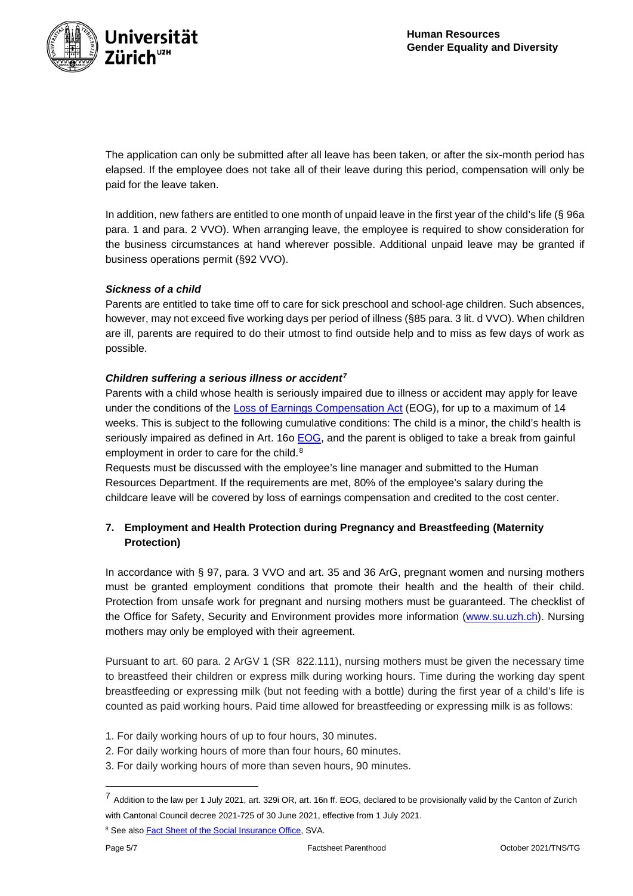

The application can only be submitted after all leave has been taken, or after the six-month period has elapsed. If the employee does not take all of their leave during this period, compensation will only be paid for the leave taken.

In addition, new fathers are entitled to one month of unpaid leave in the first year of the child's life (§ 96a para. 1 and para. 2 VVO). When arranging leave, the employee is required to show consideration for the business circumstances at hand wherever possible. Additional unpaid leave may be granted if business operations permit (§92 VVO).

## *Sickness of a child*

Parents are entitled to take time off to care for sick preschool and school-age children. Such absences, however, may not exceed five working days per period of illness (§85 para. 3 lit. d VVO). When children are ill, parents are required to do their utmost to find outside help and to miss as few days of work as possible.

## *Children suffering a serious illness or accident[7](#page-4-0)*

Parents with a child whose health is seriously impaired due to illness or accident may apply for leave under the conditions of the [Loss of Earnings Compensation Act](https://www.fedlex.admin.ch/eli/cc/1952/1021_1046_1050/de) (EOG), for up to a maximum of 14 weeks. This is subject to the following cumulative conditions: The child is a minor, the child's health is seriously impaired as defined in Art. 16o [EOG,](https://www.fedlex.admin.ch/eli/cc/1952/1021_1046_1050/de#art_16_k) and the parent is obliged to take a break from gainful employment in order to care for the child.<sup>[8](#page-4-1)</sup>

Requests must be discussed with the employee's line manager and submitted to the Human Resources Department. If the requirements are met, 80% of the employee's salary during the childcare leave will be covered by loss of earnings compensation and credited to the cost center.

# **7. Employment and Health Protection during Pregnancy and Breastfeeding (Maternity Protection)**

In accordance with § 97, para. 3 VVO and art. 35 and 36 ArG, pregnant women and nursing mothers must be granted employment conditions that promote their health and the health of their child. Protection from unsafe work for pregnant and nursing mothers must be guaranteed. The checklist of the Office for Safety, Security and Environment provides more information [\(www.su.uzh.ch\)](https://www.su.uzh.ch/en.html). Nursing mothers may only be employed with their agreement.

Pursuant to art. 60 para. 2 ArGV 1 (SR 822.111), nursing mothers must be given the necessary time to breastfeed their children or express milk during working hours. Time during the working day spent breastfeeding or expressing milk (but not feeding with a bottle) during the first year of a child's life is counted as paid working hours. Paid time allowed for breastfeeding or expressing milk is as follows:

- 1. For daily working hours of up to four hours, 30 minutes.
- 2. For daily working hours of more than four hours, 60 minutes.
- 3. For daily working hours of more than seven hours, 90 minutes.

<span id="page-4-0"></span><sup>7</sup> Addition to the law per 1 July 2021, art. 329i OR, art. 16n ff. EOG, declared to be provisionally valid by the Canton of Zurich with Cantonal Council decree 2021-725 of 30 June 2021, effective from 1 July 2021.

<span id="page-4-1"></span><sup>&</sup>lt;sup>8</sup> See also Fact Sheet [of the Social Insurance Office,](https://www.ahv-iv.ch/de/Merkbl%C3%A4tter-Formulare/Merkbl%C3%A4tter/Leistungen-der-EO-MSE-VSE-BUE) SVA.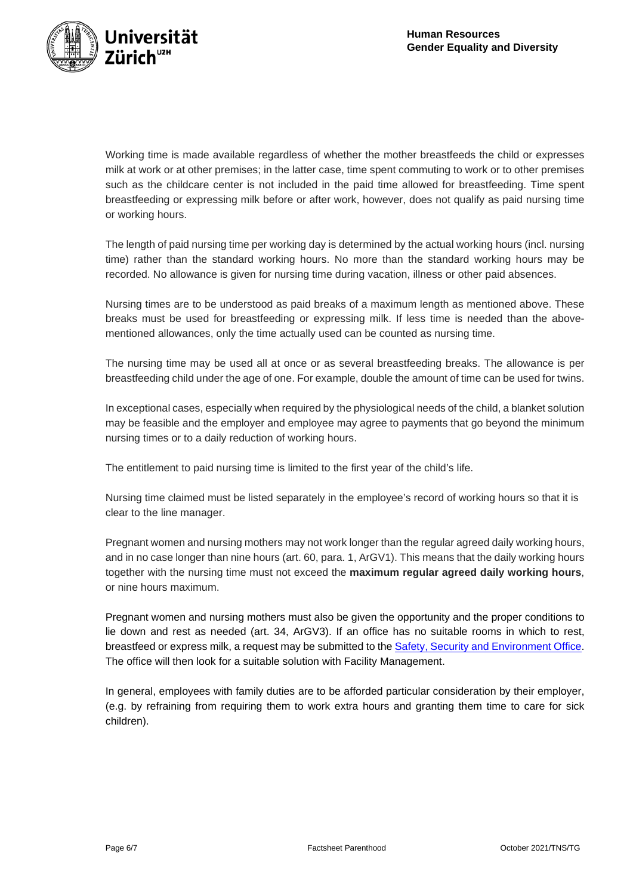

Working time is made available regardless of whether the mother breastfeeds the child or expresses milk at work or at other premises; in the latter case, time spent commuting to work or to other premises such as the childcare center is not included in the paid time allowed for breastfeeding. Time spent breastfeeding or expressing milk before or after work, however, does not qualify as paid nursing time or working hours.

The length of paid nursing time per working day is determined by the actual working hours (incl. nursing time) rather than the standard working hours. No more than the standard working hours may be recorded. No allowance is given for nursing time during vacation, illness or other paid absences.

Nursing times are to be understood as paid breaks of a maximum length as mentioned above. These breaks must be used for breastfeeding or expressing milk. If less time is needed than the abovementioned allowances, only the time actually used can be counted as nursing time.

The nursing time may be used all at once or as several breastfeeding breaks. The allowance is per breastfeeding child under the age of one. For example, double the amount of time can be used for twins.

In exceptional cases, especially when required by the physiological needs of the child, a blanket solution may be feasible and the employer and employee may agree to payments that go beyond the minimum nursing times or to a daily reduction of working hours.

The entitlement to paid nursing time is limited to the first year of the child's life.

Nursing time claimed must be listed separately in the employee's record of working hours so that it is clear to the line manager.

Pregnant women and nursing mothers may not work longer than the regular agreed daily working hours, and in no case longer than nine hours (art. 60, para. 1, ArGV1). This means that the daily working hours together with the nursing time must not exceed the **maximum regular agreed daily working hours**, or nine hours maximum.

Pregnant women and nursing mothers must also be given the opportunity and the proper conditions to lie down and rest as needed (art. 34, ArGV3). If an office has no suitable rooms in which to rest, breastfeed or express milk, a request may be submitted to th[e Safety, Security and Environment Office.](https://www.su.uzh.ch/en.html) The office will then look for a suitable solution with Facility Management.

In general, employees with family duties are to be afforded particular consideration by their employer, (e.g. by refraining from requiring them to work extra hours and granting them time to care for sick children).